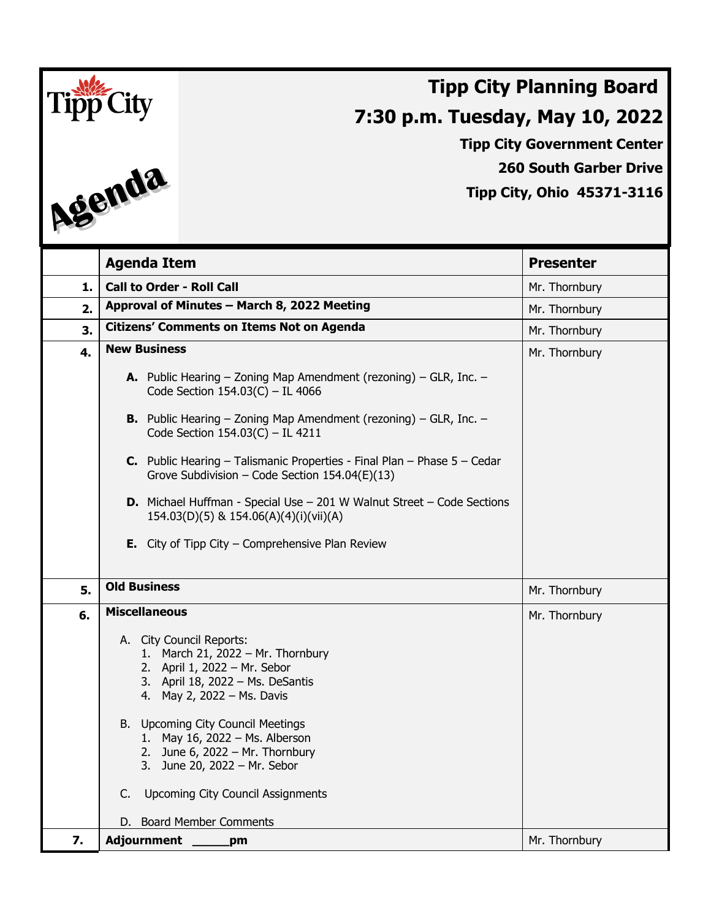

**Tipp City Government Center**

**260 South Garber Drive**

**Tipp City, Ohio 45371-3116**

|    | <b>Agenda Item</b>                                                                                                                                                                                                                                                                                                                                          | <b>Presenter</b> |
|----|-------------------------------------------------------------------------------------------------------------------------------------------------------------------------------------------------------------------------------------------------------------------------------------------------------------------------------------------------------------|------------------|
| 1. | <b>Call to Order - Roll Call</b>                                                                                                                                                                                                                                                                                                                            | Mr. Thornbury    |
| 2. | Approval of Minutes - March 8, 2022 Meeting                                                                                                                                                                                                                                                                                                                 | Mr. Thornbury    |
| 3. | <b>Citizens' Comments on Items Not on Agenda</b>                                                                                                                                                                                                                                                                                                            | Mr. Thornbury    |
| 4. | <b>New Business</b>                                                                                                                                                                                                                                                                                                                                         | Mr. Thornbury    |
|    | <b>A.</b> Public Hearing $-$ Zoning Map Amendment (rezoning) $-$ GLR, Inc. $-$<br>Code Section $154.03(C) - IL 4066$                                                                                                                                                                                                                                        |                  |
|    | <b>B.</b> Public Hearing $-$ Zoning Map Amendment (rezoning) $-$ GLR, Inc. $-$<br>Code Section 154.03(C) - IL 4211                                                                                                                                                                                                                                          |                  |
|    | <b>C.</b> Public Hearing - Talismanic Properties - Final Plan - Phase $5 -$ Cedar<br>Grove Subdivision - Code Section $154.04(E)(13)$                                                                                                                                                                                                                       |                  |
|    | <b>D.</b> Michael Huffman - Special Use $-$ 201 W Walnut Street $-$ Code Sections<br>154.03(D)(5) & 154.06(A)(4)(i)(vii)(A)                                                                                                                                                                                                                                 |                  |
|    | <b>E.</b> City of Tipp City $-$ Comprehensive Plan Review                                                                                                                                                                                                                                                                                                   |                  |
| 5. | <b>Old Business</b>                                                                                                                                                                                                                                                                                                                                         | Mr. Thornbury    |
| 6. | <b>Miscellaneous</b>                                                                                                                                                                                                                                                                                                                                        | Mr. Thornbury    |
|    | A. City Council Reports:<br>1. March 21, 2022 - Mr. Thornbury<br>2. April 1, 2022 - Mr. Sebor<br>3. April 18, 2022 - Ms. DeSantis<br>4. May 2, 2022 - Ms. Davis<br>B. Upcoming City Council Meetings<br>1. May 16, 2022 - Ms. Alberson<br>2. June 6, 2022 - Mr. Thornbury<br>3. June 20, 2022 - Mr. Sebor<br><b>Upcoming City Council Assignments</b><br>C. |                  |
|    |                                                                                                                                                                                                                                                                                                                                                             |                  |
| 7. | D. Board Member Comments<br><b>Adjournment</b><br>pm                                                                                                                                                                                                                                                                                                        | Mr. Thornbury    |
|    |                                                                                                                                                                                                                                                                                                                                                             |                  |